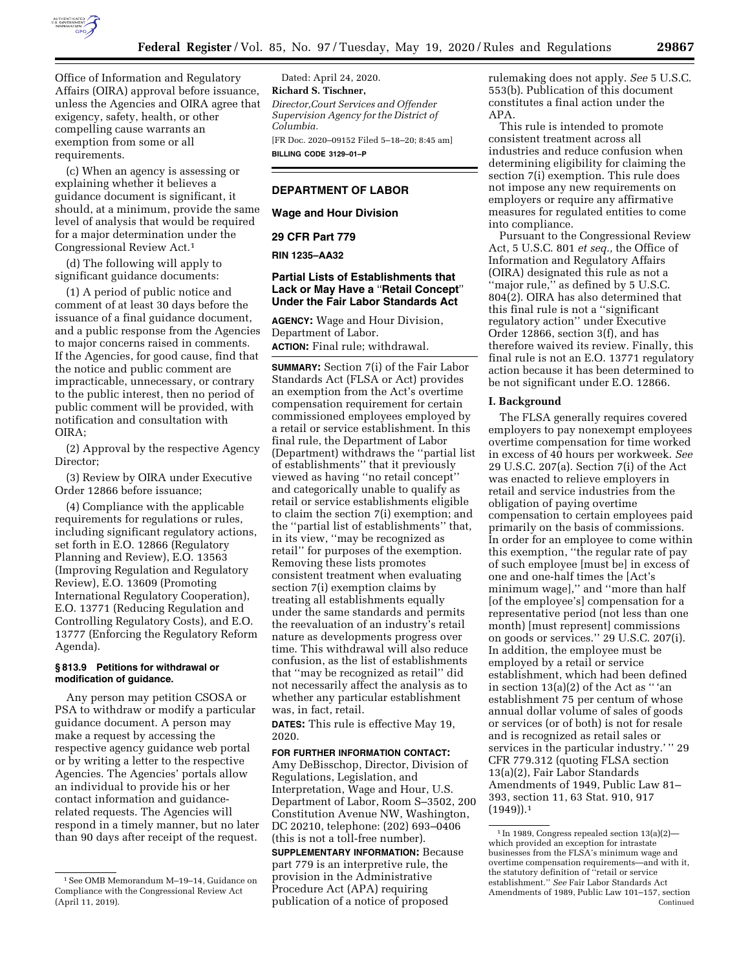

Office of Information and Regulatory Affairs (OIRA) approval before issuance, unless the Agencies and OIRA agree that exigency, safety, health, or other compelling cause warrants an exemption from some or all requirements.

(c) When an agency is assessing or explaining whether it believes a guidance document is significant, it should, at a minimum, provide the same level of analysis that would be required for a major determination under the Congressional Review Act.1

(d) The following will apply to significant guidance documents:

(1) A period of public notice and comment of at least 30 days before the issuance of a final guidance document, and a public response from the Agencies to major concerns raised in comments. If the Agencies, for good cause, find that the notice and public comment are impracticable, unnecessary, or contrary to the public interest, then no period of public comment will be provided, with notification and consultation with OIRA;

(2) Approval by the respective Agency Director;

(3) Review by OIRA under Executive Order 12866 before issuance;

(4) Compliance with the applicable requirements for regulations or rules, including significant regulatory actions, set forth in E.O. 12866 (Regulatory Planning and Review), E.O. 13563 (Improving Regulation and Regulatory Review), E.O. 13609 (Promoting International Regulatory Cooperation), E.O. 13771 (Reducing Regulation and Controlling Regulatory Costs), and E.O. 13777 (Enforcing the Regulatory Reform Agenda).

## **§ 813.9 Petitions for withdrawal or modification of guidance.**

Any person may petition CSOSA or PSA to withdraw or modify a particular guidance document. A person may make a request by accessing the respective agency guidance web portal or by writing a letter to the respective Agencies. The Agencies' portals allow an individual to provide his or her contact information and guidancerelated requests. The Agencies will respond in a timely manner, but no later than 90 days after receipt of the request.

Dated: April 24, 2020. **Richard S. Tischner,**  *Director,Court Services and Offender Supervision Agency for the District of Columbia.*  [FR Doc. 2020–09152 Filed 5–18–20; 8:45 am]

**BILLING CODE 3129–01–P** 

# **DEPARTMENT OF LABOR**

**Wage and Hour Division** 

### **29 CFR Part 779**

# **RIN 1235–AA32**

## **Partial Lists of Establishments that Lack or May Have a** ''**Retail Concept**'' **Under the Fair Labor Standards Act**

**AGENCY:** Wage and Hour Division, Department of Labor. **ACTION:** Final rule; withdrawal.

**SUMMARY:** Section 7(i) of the Fair Labor Standards Act (FLSA or Act) provides an exemption from the Act's overtime compensation requirement for certain commissioned employees employed by a retail or service establishment. In this final rule, the Department of Labor (Department) withdraws the ''partial list of establishments'' that it previously viewed as having ''no retail concept'' and categorically unable to qualify as retail or service establishments eligible to claim the section 7(i) exemption; and the ''partial list of establishments'' that, in its view, ''may be recognized as retail'' for purposes of the exemption. Removing these lists promotes consistent treatment when evaluating section 7(i) exemption claims by treating all establishments equally under the same standards and permits the reevaluation of an industry's retail nature as developments progress over time. This withdrawal will also reduce confusion, as the list of establishments that ''may be recognized as retail'' did not necessarily affect the analysis as to whether any particular establishment was, in fact, retail.

**DATES:** This rule is effective May 19, 2020.

#### **FOR FURTHER INFORMATION CONTACT:**

Amy DeBisschop, Director, Division of Regulations, Legislation, and Interpretation, Wage and Hour, U.S. Department of Labor, Room S–3502, 200 Constitution Avenue NW, Washington, DC 20210, telephone: (202) 693–0406 (this is not a toll-free number).

**SUPPLEMENTARY INFORMATION:** Because part 779 is an interpretive rule, the provision in the Administrative Procedure Act (APA) requiring publication of a notice of proposed

rulemaking does not apply. *See* 5 U.S.C. 553(b). Publication of this document constitutes a final action under the APA.

This rule is intended to promote consistent treatment across all industries and reduce confusion when determining eligibility for claiming the section 7(i) exemption. This rule does not impose any new requirements on employers or require any affirmative measures for regulated entities to come into compliance.

Pursuant to the Congressional Review Act, 5 U.S.C. 801 *et seq.,* the Office of Information and Regulatory Affairs (OIRA) designated this rule as not a ''major rule,'' as defined by 5 U.S.C. 804(2). OIRA has also determined that this final rule is not a ''significant regulatory action'' under Executive Order 12866, section 3(f), and has therefore waived its review. Finally, this final rule is not an E.O. 13771 regulatory action because it has been determined to be not significant under E.O. 12866.

## **I. Background**

The FLSA generally requires covered employers to pay nonexempt employees overtime compensation for time worked in excess of 40 hours per workweek. *See*  29 U.S.C. 207(a). Section 7(i) of the Act was enacted to relieve employers in retail and service industries from the obligation of paying overtime compensation to certain employees paid primarily on the basis of commissions. In order for an employee to come within this exemption, ''the regular rate of pay of such employee [must be] in excess of one and one-half times the [Act's minimum wage],'' and ''more than half [of the employee's] compensation for a representative period (not less than one month) [must represent] commissions on goods or services.'' 29 U.S.C. 207(i). In addition, the employee must be employed by a retail or service establishment, which had been defined in section 13(a)(2) of the Act as '' 'an establishment 75 per centum of whose annual dollar volume of sales of goods or services (or of both) is not for resale and is recognized as retail sales or services in the particular industry.'" 29 CFR 779.312 (quoting FLSA section 13(a)(2), Fair Labor Standards Amendments of 1949, Public Law 81– 393, section 11, 63 Stat. 910, 917 (1949)).1

<sup>1</sup>See OMB Memorandum M–19–14, Guidance on Compliance with the Congressional Review Act (April 11, 2019).

<sup>1</sup> In 1989, Congress repealed section 13(a)(2) which provided an exception for intrastate businesses from the FLSA's minimum wage and overtime compensation requirements—and with it, the statutory definition of ''retail or service establishment.'' *See* Fair Labor Standards Act Amendments of 1989, Public Law 101–157, section Continued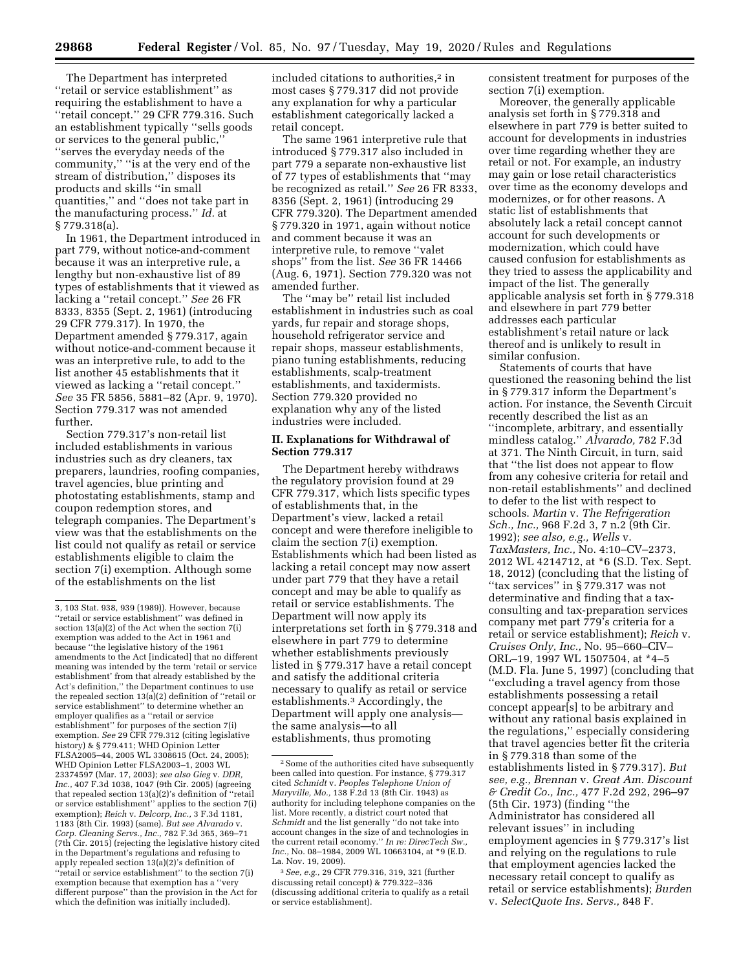The Department has interpreted ''retail or service establishment'' as requiring the establishment to have a ''retail concept.'' 29 CFR 779.316. Such an establishment typically ''sells goods or services to the general public,'' ''serves the everyday needs of the community,'' ''is at the very end of the stream of distribution,'' disposes its products and skills ''in small quantities,'' and ''does not take part in the manufacturing process.'' *Id.* at § 779.318(a).

In 1961, the Department introduced in part 779, without notice-and-comment because it was an interpretive rule, a lengthy but non-exhaustive list of 89 types of establishments that it viewed as lacking a ''retail concept.'' *See* 26 FR 8333, 8355 (Sept. 2, 1961) (introducing 29 CFR 779.317). In 1970, the Department amended § 779.317, again without notice-and-comment because it was an interpretive rule, to add to the list another 45 establishments that it viewed as lacking a ''retail concept.'' *See* 35 FR 5856, 5881–82 (Apr. 9, 1970). Section 779.317 was not amended further.

Section 779.317's non-retail list included establishments in various industries such as dry cleaners, tax preparers, laundries, roofing companies, travel agencies, blue printing and photostating establishments, stamp and coupon redemption stores, and telegraph companies. The Department's view was that the establishments on the list could not qualify as retail or service establishments eligible to claim the section 7(i) exemption. Although some of the establishments on the list

included citations to authorities,<sup>2</sup> in most cases § 779.317 did not provide any explanation for why a particular establishment categorically lacked a retail concept.

The same 1961 interpretive rule that introduced § 779.317 also included in part 779 a separate non-exhaustive list of 77 types of establishments that ''may be recognized as retail.'' *See* 26 FR 8333, 8356 (Sept. 2, 1961) (introducing 29 CFR 779.320). The Department amended § 779.320 in 1971, again without notice and comment because it was an interpretive rule, to remove ''valet shops'' from the list. *See* 36 FR 14466 (Aug. 6, 1971). Section 779.320 was not amended further.

The ''may be'' retail list included establishment in industries such as coal yards, fur repair and storage shops, household refrigerator service and repair shops, masseur establishments, piano tuning establishments, reducing establishments, scalp-treatment establishments, and taxidermists. Section 779.320 provided no explanation why any of the listed industries were included.

## **II. Explanations for Withdrawal of Section 779.317**

The Department hereby withdraws the regulatory provision found at 29 CFR 779.317, which lists specific types of establishments that, in the Department's view, lacked a retail concept and were therefore ineligible to claim the section 7(i) exemption. Establishments which had been listed as lacking a retail concept may now assert under part 779 that they have a retail concept and may be able to qualify as retail or service establishments. The Department will now apply its interpretations set forth in § 779.318 and elsewhere in part 779 to determine whether establishments previously listed in § 779.317 have a retail concept and satisfy the additional criteria necessary to qualify as retail or service establishments.3 Accordingly, the Department will apply one analysis the same analysis—to all establishments, thus promoting

consistent treatment for purposes of the section 7(i) exemption.

Moreover, the generally applicable analysis set forth in § 779.318 and elsewhere in part 779 is better suited to account for developments in industries over time regarding whether they are retail or not. For example, an industry may gain or lose retail characteristics over time as the economy develops and modernizes, or for other reasons. A static list of establishments that absolutely lack a retail concept cannot account for such developments or modernization, which could have caused confusion for establishments as they tried to assess the applicability and impact of the list. The generally applicable analysis set forth in § 779.318 and elsewhere in part 779 better addresses each particular establishment's retail nature or lack thereof and is unlikely to result in similar confusion.

Statements of courts that have questioned the reasoning behind the list in § 779.317 inform the Department's action. For instance, the Seventh Circuit recently described the list as an ''incomplete, arbitrary, and essentially mindless catalog.'' *Alvarado,* 782 F.3d at 371. The Ninth Circuit, in turn, said that ''the list does not appear to flow from any cohesive criteria for retail and non-retail establishments'' and declined to defer to the list with respect to schools. *Martin* v. *The Refrigeration Sch., Inc.,* 968 F.2d 3, 7 n.2 (9th Cir. 1992); *see also, e.g., Wells* v. *TaxMasters, Inc.,* No. 4:10–CV–2373, 2012 WL 4214712, at \*6 (S.D. Tex. Sept. 18, 2012) (concluding that the listing of ''tax services'' in § 779.317 was not determinative and finding that a taxconsulting and tax-preparation services company met part 779's criteria for a retail or service establishment); *Reich* v. *Cruises Only, Inc.,* No. 95–660–CIV– ORL–19, 1997 WL 1507504, at \*4–5 (M.D. Fla. June 5, 1997) (concluding that ''excluding a travel agency from those establishments possessing a retail concept appear[s] to be arbitrary and without any rational basis explained in the regulations,'' especially considering that travel agencies better fit the criteria in § 779.318 than some of the establishments listed in § 779.317). *But see, e.g., Brennan* v. *Great Am. Discount & Credit Co., Inc.,* 477 F.2d 292, 296–97 (5th Cir. 1973) (finding ''the Administrator has considered all relevant issues'' in including employment agencies in § 779.317's list and relying on the regulations to rule that employment agencies lacked the necessary retail concept to qualify as retail or service establishments); *Burden*  v. *SelectQuote Ins. Servs.,* 848 F.

<sup>3, 103</sup> Stat. 938, 939 (1989)). However, because ''retail or service establishment'' was defined in section 13(a)(2) of the Act when the section 7(i) exemption was added to the Act in 1961 and because ''the legislative history of the 1961 amendments to the Act [indicated] that no different meaning was intended by the term 'retail or service establishment' from that already established by the Act's definition,'' the Department continues to use the repealed section 13(a)(2) definition of ''retail or service establishment'' to determine whether an employer qualifies as a ''retail or service establishment'' for purposes of the section 7(i) exemption. *See* 29 CFR 779.312 (citing legislative history) & § 779.411; WHD Opinion Letter FLSA2005–44, 2005 WL 3308615 (Oct. 24, 2005); WHD Opinion Letter FLSA2003–1, 2003 WL 23374597 (Mar. 17, 2003); *see also Gieg* v. *DDR, Inc.,* 407 F.3d 1038, 1047 (9th Cir. 2005) (agreeing that repealed section 13(a)(2)'s definition of ''retail or service establishment'' applies to the section 7(i) exemption); *Reich* v. *Delcorp, Inc.,* 3 F.3d 1181, 1183 (8th Cir. 1993) (same). *But see Alvarado* v. *Corp. Cleaning Servs., Inc.,* 782 F.3d 365, 369–71 (7th Cir. 2015) (rejecting the legislative history cited in the Department's regulations and refusing to apply repealed section 13(a)(2)'s definition of ''retail or service establishment'' to the section 7(i) exemption because that exemption has a ''very different purpose'' than the provision in the Act for which the definition was initially included).

<sup>2</sup>Some of the authorities cited have subsequently been called into question. For instance, §779.317 cited *Schmidt* v. *Peoples Telephone Union of Maryville, Mo.,* 138 F.2d 13 (8th Cir. 1943) as authority for including telephone companies on the list. More recently, a district court noted that *Schmidt* and the list generally ''do not take into account changes in the size of and technologies in the current retail economy.'' *In re: DirecTech Sw., Inc.,* No. 08–1984, 2009 WL 10663104, at \*9 (E.D. La. Nov. 19, 2009).

<sup>3</sup>*See, e.g.,* 29 CFR 779.316, 319, 321 (further discussing retail concept) & 779.322–336 (discussing additional criteria to qualify as a retail or service establishment).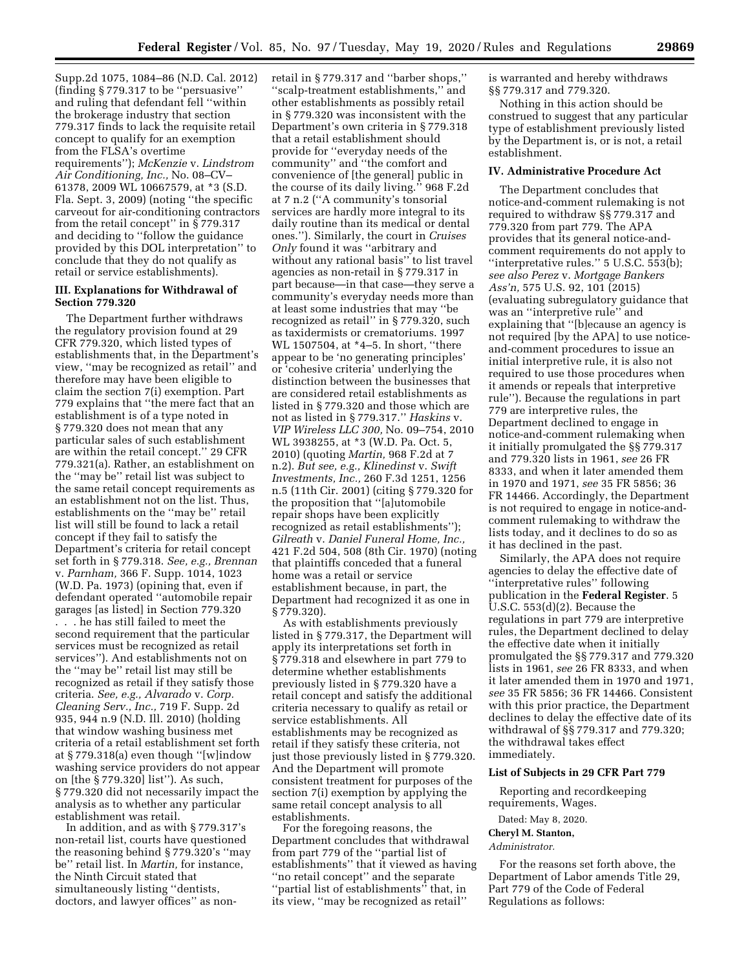Supp.2d 1075, 1084–86 (N.D. Cal. 2012) (finding § 779.317 to be ''persuasive'' and ruling that defendant fell ''within the brokerage industry that section 779.317 finds to lack the requisite retail concept to qualify for an exemption from the FLSA's overtime requirements''); *McKenzie* v. *Lindstrom Air Conditioning, Inc.,* No. 08–CV– 61378, 2009 WL 10667579, at \*3 (S.D. Fla. Sept. 3, 2009) (noting ''the specific carveout for air-conditioning contractors from the retail concept'' in § 779.317 and deciding to ''follow the guidance provided by this DOL interpretation'' to conclude that they do not qualify as retail or service establishments).

## **III. Explanations for Withdrawal of Section 779.320**

The Department further withdraws the regulatory provision found at 29 CFR 779.320, which listed types of establishments that, in the Department's view, ''may be recognized as retail'' and therefore may have been eligible to claim the section 7(i) exemption. Part 779 explains that ''the mere fact that an establishment is of a type noted in § 779.320 does not mean that any particular sales of such establishment are within the retail concept.'' 29 CFR 779.321(a). Rather, an establishment on the ''may be'' retail list was subject to the same retail concept requirements as an establishment not on the list. Thus, establishments on the ''may be'' retail list will still be found to lack a retail concept if they fail to satisfy the Department's criteria for retail concept set forth in § 779.318. *See, e.g., Brennan*  v. *Parnham,* 366 F. Supp. 1014, 1023 (W.D. Pa. 1973) (opining that, even if defendant operated ''automobile repair garages [as listed] in Section 779.320 . . . he has still failed to meet the second requirement that the particular services must be recognized as retail services''). And establishments not on the ''may be'' retail list may still be recognized as retail if they satisfy those criteria. *See, e.g., Alvarado* v. *Corp. Cleaning Serv., Inc.,* 719 F. Supp. 2d 935, 944 n.9 (N.D. Ill. 2010) (holding that window washing business met criteria of a retail establishment set forth at § 779.318(a) even though ''[w]indow washing service providers do not appear on [the § 779.320] list''). As such, § 779.320 did not necessarily impact the analysis as to whether any particular establishment was retail.

In addition, and as with § 779.317's non-retail list, courts have questioned the reasoning behind § 779.320's ''may be'' retail list. In *Martin,* for instance, the Ninth Circuit stated that simultaneously listing ''dentists, doctors, and lawyer offices'' as nonretail in § 779.317 and ''barber shops,'' ''scalp-treatment establishments,'' and other establishments as possibly retail in § 779.320 was inconsistent with the Department's own criteria in § 779.318 that a retail establishment should provide for ''everyday needs of the community'' and ''the comfort and convenience of [the general] public in the course of its daily living.'' 968 F.2d at 7 n.2 (''A community's tonsorial services are hardly more integral to its daily routine than its medical or dental ones.''). Similarly, the court in *Cruises Only* found it was ''arbitrary and without any rational basis'' to list travel agencies as non-retail in § 779.317 in part because—in that case—they serve a community's everyday needs more than at least some industries that may ''be recognized as retail'' in § 779.320, such as taxidermists or crematoriums. 1997 WL 1507504, at \*4–5. In short, ''there appear to be 'no generating principles' or 'cohesive criteria' underlying the distinction between the businesses that are considered retail establishments as listed in § 779.320 and those which are not as listed in § 779.317.'' *Haskins* v. *VIP Wireless LLC 300,* No. 09–754, 2010 WL 3938255, at \*3 (W.D. Pa. Oct. 5, 2010) (quoting *Martin,* 968 F.2d at 7 n.2). *But see, e.g., Klinedinst* v. *Swift Investments, Inc.,* 260 F.3d 1251, 1256 n.5 (11th Cir. 2001) (citing § 779.320 for the proposition that ''[a]utomobile repair shops have been explicitly recognized as retail establishments''); *Gilreath* v. *Daniel Funeral Home, Inc.,*  421 F.2d 504, 508 (8th Cir. 1970) (noting that plaintiffs conceded that a funeral home was a retail or service establishment because, in part, the Department had recognized it as one in § 779.320).

As with establishments previously listed in § 779.317, the Department will apply its interpretations set forth in § 779.318 and elsewhere in part 779 to determine whether establishments previously listed in § 779.320 have a retail concept and satisfy the additional criteria necessary to qualify as retail or service establishments. All establishments may be recognized as retail if they satisfy these criteria, not just those previously listed in § 779.320. And the Department will promote consistent treatment for purposes of the section 7(i) exemption by applying the same retail concept analysis to all establishments.

For the foregoing reasons, the Department concludes that withdrawal from part 779 of the ''partial list of establishments'' that it viewed as having ''no retail concept'' and the separate ''partial list of establishments'' that, in its view, ''may be recognized as retail''

is warranted and hereby withdraws §§ 779.317 and 779.320.

Nothing in this action should be construed to suggest that any particular type of establishment previously listed by the Department is, or is not, a retail establishment.

## **IV. Administrative Procedure Act**

The Department concludes that notice-and-comment rulemaking is not required to withdraw §§ 779.317 and 779.320 from part 779. The APA provides that its general notice-andcomment requirements do not apply to "interpretative rules." 5 U.S.C. 553(b); *see also Perez* v. *Mortgage Bankers Ass'n,* 575 U.S. 92, 101 (2015) (evaluating subregulatory guidance that was an ''interpretive rule'' and explaining that ''[b]ecause an agency is not required [by the APA] to use noticeand-comment procedures to issue an initial interpretive rule, it is also not required to use those procedures when it amends or repeals that interpretive rule''). Because the regulations in part 779 are interpretive rules, the Department declined to engage in notice-and-comment rulemaking when it initially promulgated the §§ 779.317 and 779.320 lists in 1961, *see* 26 FR 8333, and when it later amended them in 1970 and 1971, *see* 35 FR 5856; 36 FR 14466. Accordingly, the Department is not required to engage in notice-andcomment rulemaking to withdraw the lists today, and it declines to do so as it has declined in the past.

Similarly, the APA does not require agencies to delay the effective date of ''interpretative rules'' following publication in the **Federal Register**. 5 U.S.C. 553(d)(2). Because the regulations in part 779 are interpretive rules, the Department declined to delay the effective date when it initially promulgated the §§ 779.317 and 779.320 lists in 1961, *see* 26 FR 8333, and when it later amended them in 1970 and 1971, *see* 35 FR 5856; 36 FR 14466. Consistent with this prior practice, the Department declines to delay the effective date of its withdrawal of §§ 779.317 and 779.320; the withdrawal takes effect immediately.

## **List of Subjects in 29 CFR Part 779**

Reporting and recordkeeping requirements, Wages.

Dated: May 8, 2020.

## **Cheryl M. Stanton,**

*Administrator.* 

For the reasons set forth above, the Department of Labor amends Title 29, Part 779 of the Code of Federal Regulations as follows: